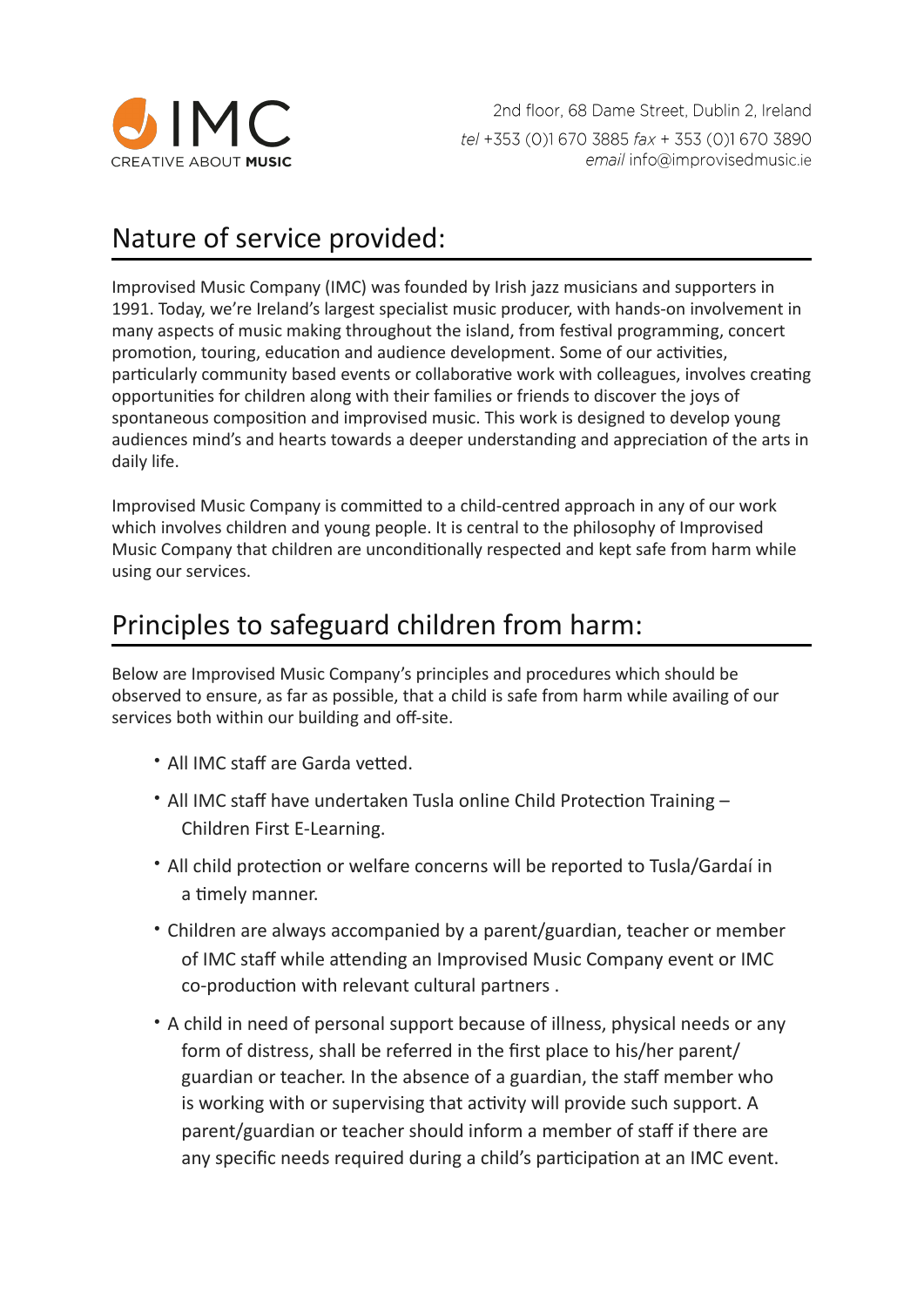

2nd floor, 68 Dame Street, Dublin 2, Ireland tel +353 (0)1 670 3885 fax + 353 (0)1 670 3890 email info@improvisedmusic.ie

### Nature of service provided:

Improvised Music Company (IMC) was founded by Irish jazz musicians and supporters in 1991. Today, we're Ireland's largest specialist music producer, with hands-on involvement in many aspects of music making throughout the island, from festival programming, concert promotion, touring, education and audience development. Some of our activities, particularly community based events or collaborative work with colleagues, involves creating opportunities for children along with their families or friends to discover the joys of spontaneous composition and improvised music. This work is designed to develop young audiences mind's and hearts towards a deeper understanding and appreciation of the arts in daily life.

Improvised Music Company is committed to a child-centred approach in any of our work which involves children and young people. It is central to the philosophy of Improvised Music Company that children are unconditionally respected and kept safe from harm while using our services.

#### Principles to safeguard children from harm:

Below are Improvised Music Company's principles and procedures which should be observed to ensure, as far as possible, that a child is safe from harm while availing of our services both within our building and off-site.

- All IMC staff are Garda vetted
- All IMC staff have undertaken Tusla online Child Protection Training -Children First E-Learning.
- All child protection or welfare concerns will be reported to Tusla/Gardaí in a timely manner.
- Children are always accompanied by a parent/guardian, teacher or member of IMC staff while attending an Improvised Music Company event or IMC co-production with relevant cultural partners.
- A child in need of personal support because of illness, physical needs or any form of distress, shall be referred in the first place to his/her parent/ guardian or teacher. In the absence of a guardian, the staff member who is working with or supervising that activity will provide such support. A parent/guardian or teacher should inform a member of staff if there are any specific needs required during a child's participation at an IMC event.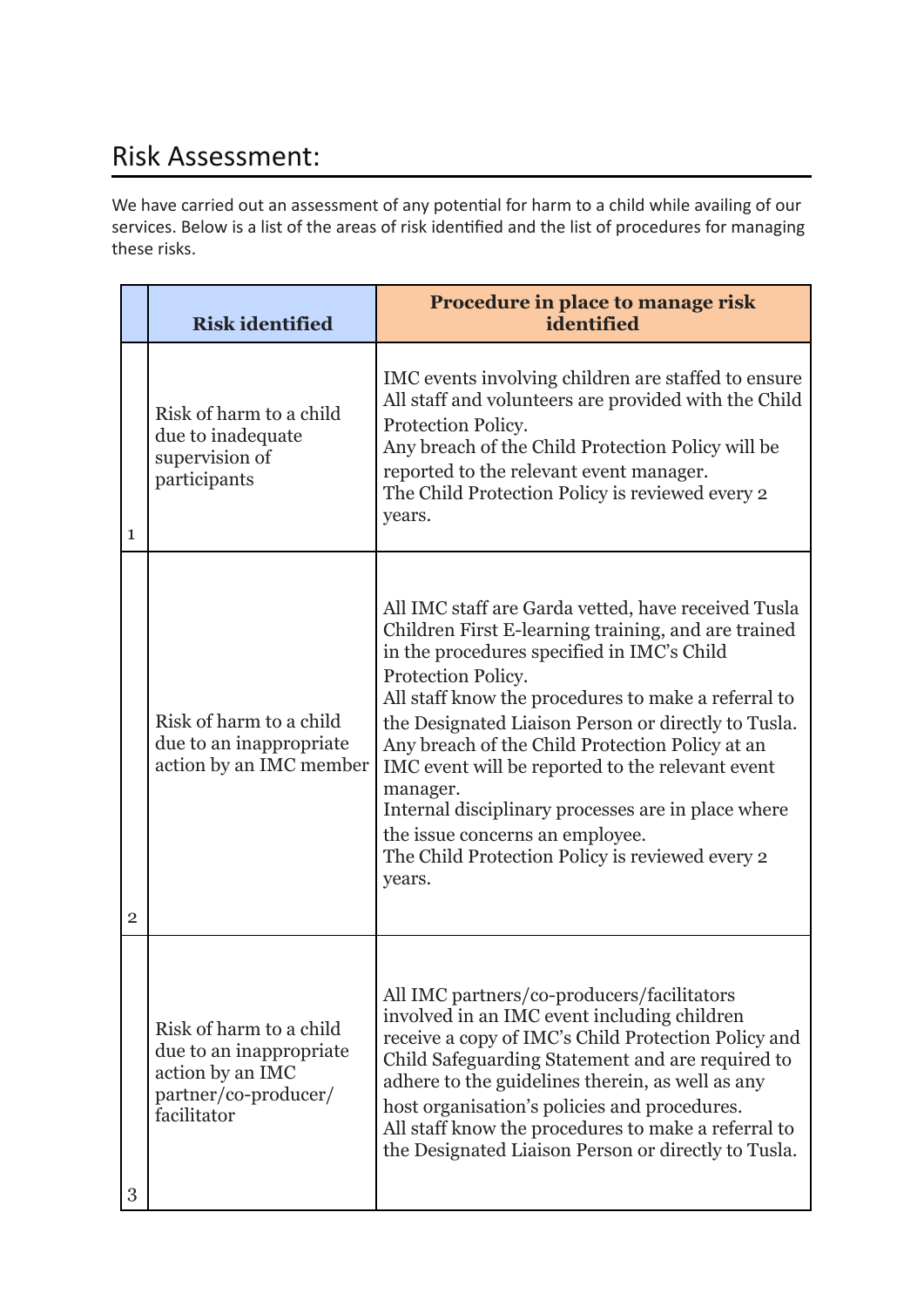# Risk Assessment:

We have carried out an assessment of any potential for harm to a child while availing of our services. Below is a list of the areas of risk identified and the list of procedures for managing these risks.

|                | <b>Risk identified</b>                                                                                        | Procedure in place to manage risk<br>identified                                                                                                                                                                                                                                                                                                                                                                                                                                                                                                                       |
|----------------|---------------------------------------------------------------------------------------------------------------|-----------------------------------------------------------------------------------------------------------------------------------------------------------------------------------------------------------------------------------------------------------------------------------------------------------------------------------------------------------------------------------------------------------------------------------------------------------------------------------------------------------------------------------------------------------------------|
| 1              | Risk of harm to a child<br>due to inadequate<br>supervision of<br>participants                                | IMC events involving children are staffed to ensure<br>All staff and volunteers are provided with the Child<br>Protection Policy.<br>Any breach of the Child Protection Policy will be<br>reported to the relevant event manager.<br>The Child Protection Policy is reviewed every 2<br>years.                                                                                                                                                                                                                                                                        |
| $\overline{2}$ | Risk of harm to a child<br>due to an inappropriate<br>action by an IMC member                                 | All IMC staff are Garda vetted, have received Tusla<br>Children First E-learning training, and are trained<br>in the procedures specified in IMC's Child<br>Protection Policy.<br>All staff know the procedures to make a referral to<br>the Designated Liaison Person or directly to Tusla.<br>Any breach of the Child Protection Policy at an<br>IMC event will be reported to the relevant event<br>manager.<br>Internal disciplinary processes are in place where<br>the issue concerns an employee.<br>The Child Protection Policy is reviewed every 2<br>years. |
| 3              | Risk of harm to a child<br>due to an inappropriate<br>action by an IMC<br>partner/co-producer/<br>facilitator | All IMC partners/co-producers/facilitators<br>involved in an IMC event including children<br>receive a copy of IMC's Child Protection Policy and<br>Child Safeguarding Statement and are required to<br>adhere to the guidelines therein, as well as any<br>host organisation's policies and procedures.<br>All staff know the procedures to make a referral to<br>the Designated Liaison Person or directly to Tusla.                                                                                                                                                |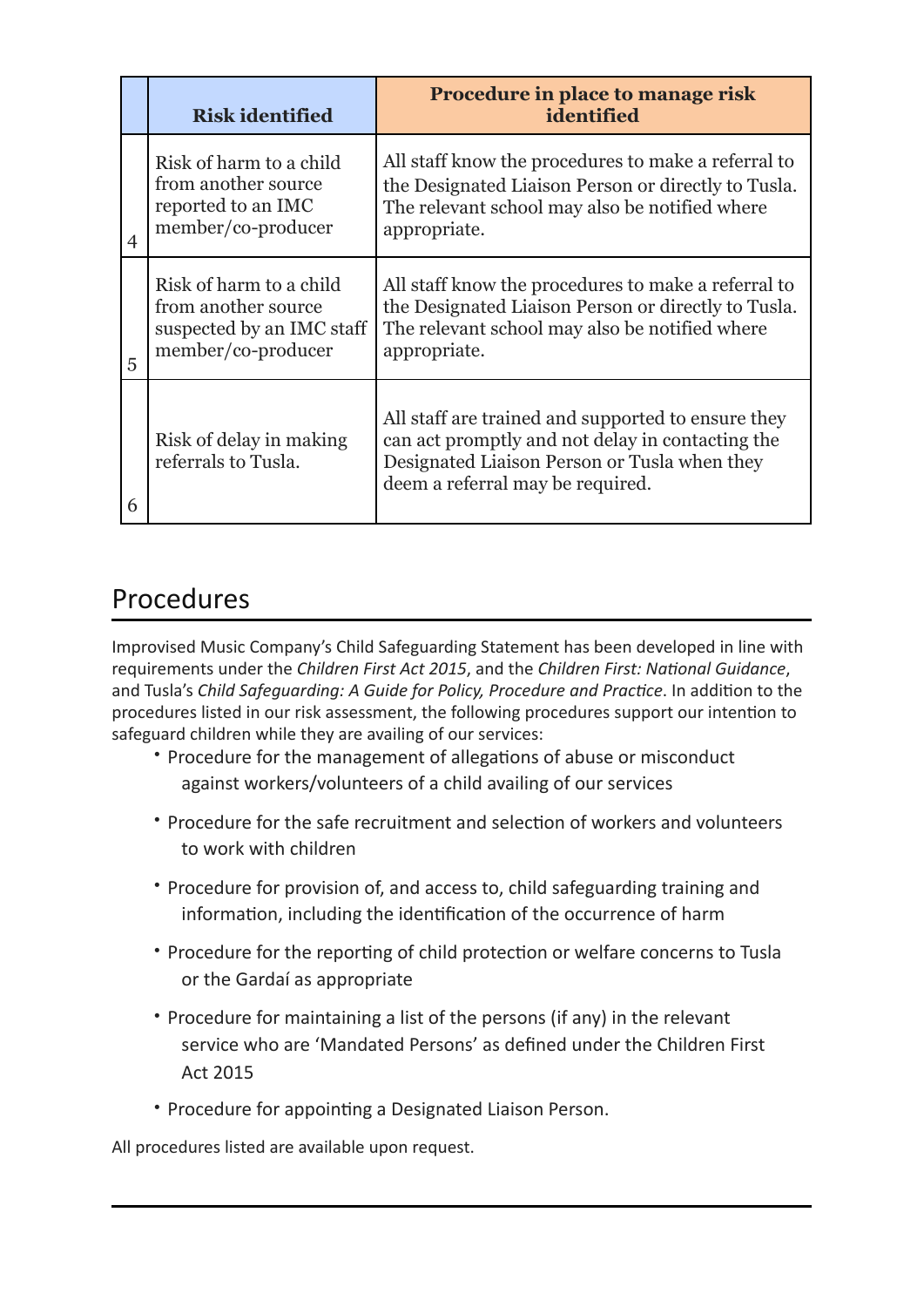|                | <b>Risk identified</b>                                                                            | Procedure in place to manage risk<br>identified                                                                                                                                            |
|----------------|---------------------------------------------------------------------------------------------------|--------------------------------------------------------------------------------------------------------------------------------------------------------------------------------------------|
| $\overline{4}$ | Risk of harm to a child<br>from another source<br>reported to an IMC<br>member/co-producer        | All staff know the procedures to make a referral to<br>the Designated Liaison Person or directly to Tusla.<br>The relevant school may also be notified where<br>appropriate.               |
| 5              | Risk of harm to a child<br>from another source<br>suspected by an IMC staff<br>member/co-producer | All staff know the procedures to make a referral to<br>the Designated Liaison Person or directly to Tusla.<br>The relevant school may also be notified where<br>appropriate.               |
| 6              | Risk of delay in making<br>referrals to Tusla.                                                    | All staff are trained and supported to ensure they<br>can act promptly and not delay in contacting the<br>Designated Liaison Person or Tusla when they<br>deem a referral may be required. |

# Procedures

Improvised Music Company's Child Safeguarding Statement has been developed in line with requirements under the *Children First Act 2015*, and the *Children First: National Guidance*, and Tusla's *Child Safeguarding: A Guide for Policy, Procedure and Practice*. In addition to the procedures listed in our risk assessment, the following procedures support our intention to safeguard children while they are availing of our services:

- Procedure for the management of allegations of abuse or misconduct against workers/volunteers of a child availing of our services
- Procedure for the safe recruitment and selection of workers and volunteers to work with children
- Procedure for provision of, and access to, child safeguarding training and information, including the identification of the occurrence of harm
- Procedure for the reporting of child protection or welfare concerns to Tusla or the Gardaí as appropriate
- Procedure for maintaining a list of the persons (if any) in the relevant service who are 'Mandated Persons' as defined under the Children First Act 2015
- Procedure for appointing a Designated Liaison Person.

All procedures listed are available upon request.